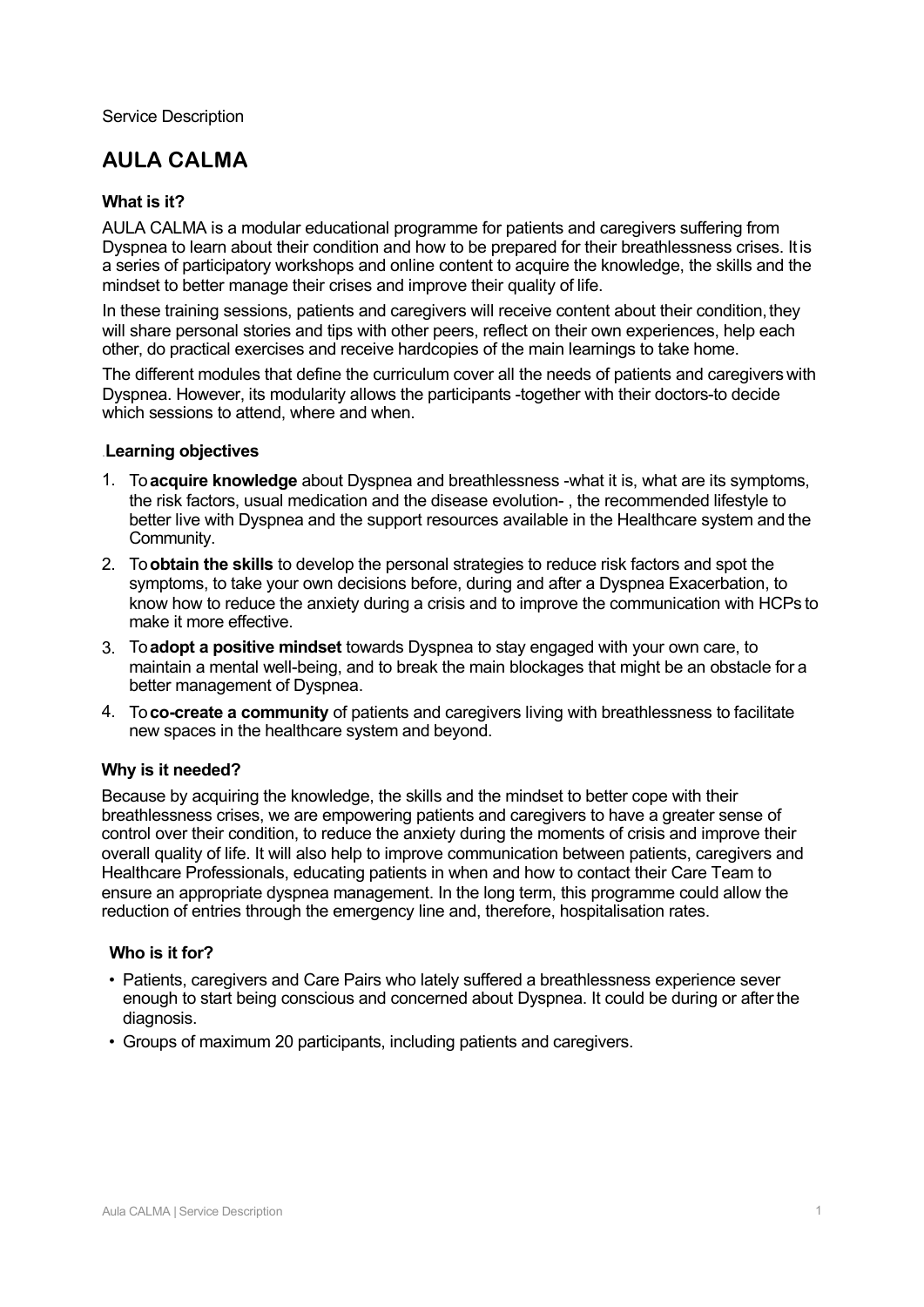Service Description

# **AULA CALMA**

### **What is it?**

AULA CALMA is a modular educational programme for patients and caregivers suffering from Dyspnea to learn about their condition and how to be prepared for their breathlessness crises. Itis a series of participatory workshops and online content to acquire the knowledge, the skills and the mindset to better manage their crises and improve their quality of life.

In these training sessions, patients and caregivers will receive content about their condition, they will share personal stories and tips with other peers, reflect on their own experiences, help each other, do practical exercises and receive hardcopies of the main learnings to take home.

The different modules that define the curriculum cover all the needs of patients and caregivers with Dyspnea. However, its modularity allows the participants -together with their doctors-to decide which sessions to attend, where and when.

#### .**Learning objectives**

- 1. To **acquire knowledge** about Dyspnea and breathlessness -what it is, what are its symptoms, the risk factors, usual medication and the disease evolution- , the recommended lifestyle to better live with Dyspnea and the support resources available in the Healthcare system and the Community.
- 2. To **obtain the skills** to develop the personal strategies to reduce risk factors and spot the symptoms, to take your own decisions before, during and after a Dyspnea Exacerbation, to know how to reduce the anxiety during a crisis and to improve the communication with HCPs to make it more effective.
- 3. To **adopt a positive mindset** towards Dyspnea to stay engaged with your own care, to maintain a mental well-being, and to break the main blockages that might be an obstacle for a better management of Dyspnea.
- 4. To **co-create a community** of patients and caregivers living with breathlessness to facilitate new spaces in the healthcare system and beyond.

### **Why is it needed?**

Because by acquiring the knowledge, the skills and the mindset to better cope with their breathlessness crises, we are empowering patients and caregivers to have a greater sense of control over their condition, to reduce the anxiety during the moments of crisis and improve their overall quality of life. It will also help to improve communication between patients, caregivers and Healthcare Professionals, educating patients in when and how to contact their Care Team to ensure an appropriate dyspnea management. In the long term, this programme could allow the reduction of entries through the emergency line and, therefore, hospitalisation rates.

### **Who is it for?**

- Patients, caregivers and Care Pairs who lately suffered a breathlessness experience sever enough to start being conscious and concerned about Dyspnea. It could be during or afterthe diagnosis.
- Groups of maximum 20 participants, including patients and caregivers.